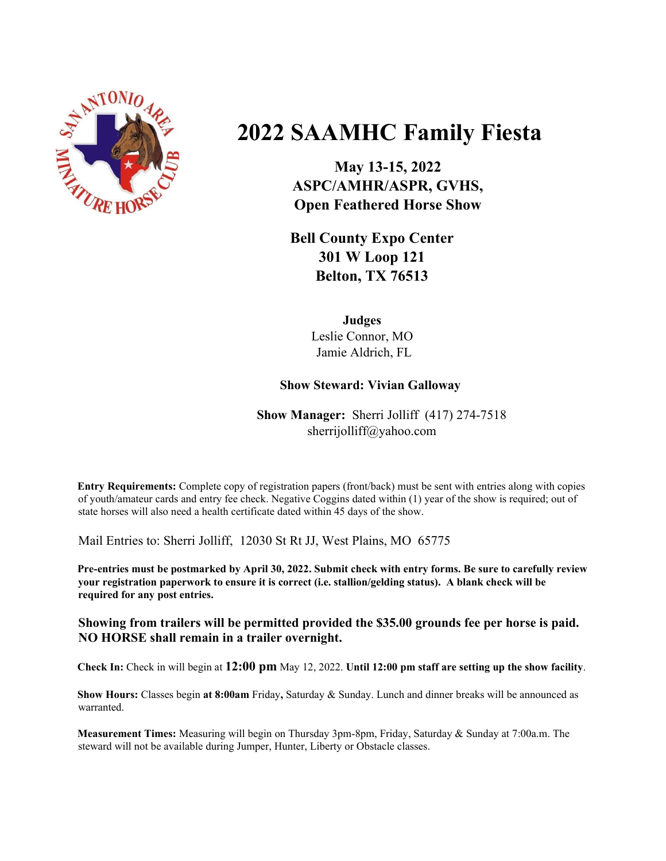

# **2022 SAAMHC Family Fiesta**

**May 13-15, 2022 ASPC/AMHR/ASPR, GVHS, Open Feathered Horse Show**

**Bell County Expo Center 301 W Loop 121 Belton, TX 76513**

> **Judges** Leslie Connor, MO Jamie Aldrich, FL

# **Show Steward: Vivian Galloway**

**Show Manager:** Sherri Jolliff (417) 274-7518 sherrijolliff@yahoo.com

**Entry Requirements:** Complete copy of registration papers (front/back) must be sent with entries along with copies of youth/amateur cards and entry fee check. Negative Coggins dated within (1) year of the show is required; out of state horses will also need a health certificate dated within 45 days of the show.

Mail Entries to: Sherri Jolliff, 12030 St Rt JJ, West Plains, MO 65775

Pre-entries must be postmarked by April 30, 2022. Submit check with entry forms. Be sure to carefully review **your registration paperwork to ensure it is correct (i.e. stallion/gelding status). A blank check will be required for any post entries.**

**Showing from trailers will be permitted provided the \$35.00 grounds fee per horse is paid. NO HORSE shall remain in a trailer overnight.**

**Check In:** Check in will begin at **12:00 pm** May 12, 2022. **Until 12:00 pm staff are setting up the show facility**.

**Show Hours:** Classes begin **at 8:00am** Friday**,** Saturday & Sunday. Lunch and dinner breaks will be announced as warranted.

**Measurement Times:** Measuring will begin on Thursday 3pm-8pm, Friday, Saturday & Sunday at 7:00a.m. The steward will not be available during Jumper, Hunter, Liberty or Obstacle classes.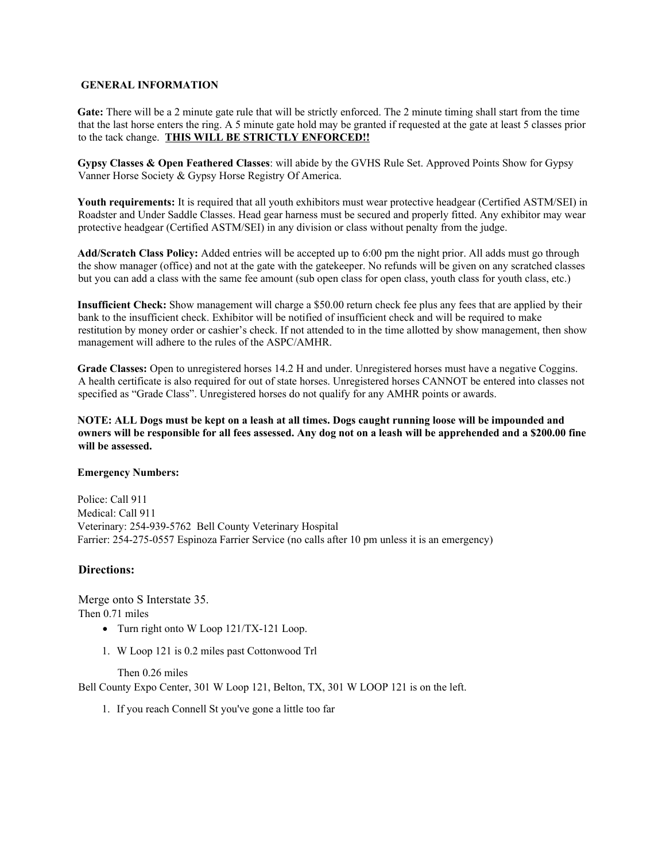### **GENERAL INFORMATION**

**Gate:** There will be a 2 minute gate rule that will be strictly enforced. The 2 minute timing shall start from the time that the last horse enters the ring. A 5 minute gate hold may be granted if requested at the gate at least 5 classes prior to the tack change. **THIS WILL BE STRICTLY ENFORCED!!**

**Gypsy Classes & Open Feathered Classes**: will abide by the GVHS Rule Set. Approved Points Show for Gypsy Vanner Horse Society & Gypsy Horse Registry Of America.

**Youth requirements:** It is required that all youth exhibitors must wear protective headgear (Certified ASTM/SEI) in Roadster and Under Saddle Classes. Head gear harness must be secured and properly fitted. Any exhibitor may wear protective headgear (Certified ASTM/SEI) in any division or class without penalty from the judge.

**Add/Scratch Class Policy:** Added entries will be accepted up to 6:00 pm the night prior. All adds must go through the show manager (office) and not at the gate with the gatekeeper. No refunds will be given on any scratched classes but you can add a class with the same fee amount (sub open class for open class, youth class for youth class, etc.)

**Insufficient Check:** Show management will charge a \$50.00 return check fee plus any fees that are applied by their bank to the insufficient check. Exhibitor will be notified of insufficient check and will be required to make restitution by money order or cashier's check. If not attended to in the time allotted by show management, then show management will adhere to the rules of the ASPC/AMHR.

**Grade Classes:** Open to unregistered horses 14.2 H and under. Unregistered horses must have a negative Coggins. A health certificate is also required for out of state horses. Unregistered horses CANNOT be entered into classes not specified as "Grade Class". Unregistered horses do not qualify for any AMHR points or awards.

NOTE: ALL Dogs must be kept on a leash at all times. Dogs caught running loose will be impounded and owners will be responsible for all fees assessed. Any dog not on a leash will be apprehended and a \$200.00 fine **will be assessed.**

#### **Emergency Numbers:**

Police: Call 911 Medical: Call 911 Veterinary: 254-939-5762 Bell County Veterinary Hospital Farrier: 254-275-0557 Espinoza Farrier Service (no calls after 10 pm unless it is an emergency)

### **Directions:**

Merge onto S Interstate 35. Then 0.71 miles

- Turn right onto W Loop 121/TX-121 Loop.
- 1. W Loop 121 is 0.2 miles past Cottonwood Trl

Then 0.26 miles

Bell County Expo Center, 301 W Loop 121, Belton, TX, 301 W LOOP 121 is on the left.

1. If you reach Connell St you've gone a little too far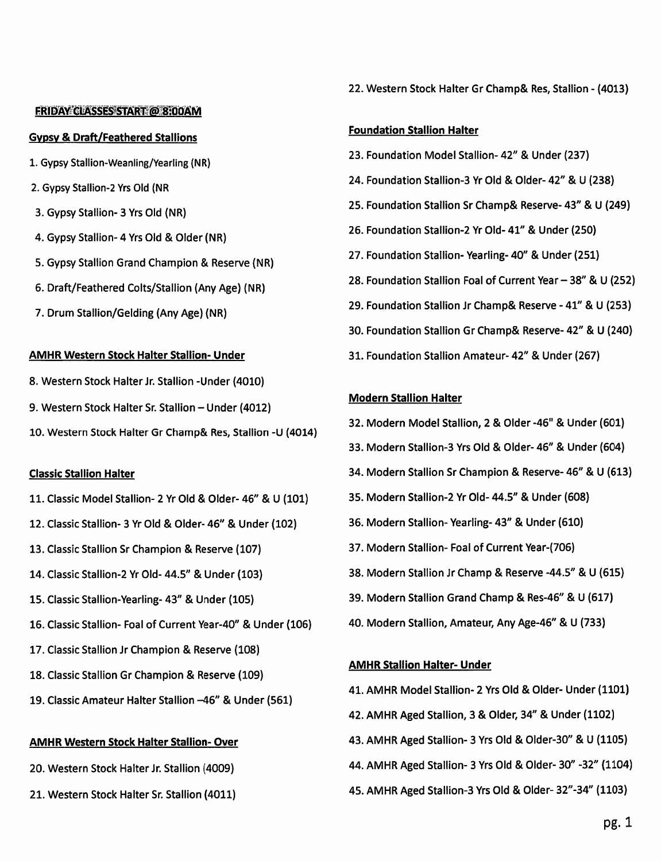### **FRIDAY CLASSES START @ 8:00AM**

### **Gypsy & Draft/Feathered Stallions**

- 1. Gypsy Stallion-Weanling/Yearling (NR)
- 2. Gypsy Stallion-2 Yrs Old (NR
- 3. Gypsy Stallion- 3 Yrs Old (NR)
- 4. Gypsy Stallion- 4 Yrs Old & Older (NR)
- 5. Gypsy Stallion Grand Champion & Reserve (NR)
- 6. Draft/Feathered Colts/Stallion (Any Age) (NR)
- 7. Drum Stallion/Gelding (Any Age) (NR)

# **AMHR Western Stock Halter Stallion- Under**

- 8. Western Stock Halter Jr. Stallion Under (4010)
- 9. Western Stock Halter Sr. Stallion Under (4012)
- 10. Western Stock Halter Gr Champ& Res, Stallion -U (4014)

# **Classic Stallion Halter**

- 11. Classic Model Stallion- 2 Yr Old & Older- 46" & U (101)
- 12. Classic Stallion- 3 Yr Old & Older-46" & Under (102)
- 13. Classic Stallion Sr Champion & Reserve (107)
- 14. Classic Stallion-2 Yr Old- 44.5" & Under (103)
- 15. Classic Stallion-Yearling-43" & Under (105)
- 16. Classic Stallion- Foal of Current Year-40" & Under (106)
- 17. Classic Stallion Jr Champion & Reserve (108)
- 18. Classic Stallion Gr Champion & Reserve (109)
- 19. Classic Amateur Halter Stallion -46" & Under (561)

# **AMHR Western Stock Halter Stallion- Over**

- 20. Western Stock Halter Jr. Stallion (4009)
- 21. Western Stock Halter Sr. Stallion (4011)

22. Western Stock Halter Gr Champ& Res, Stallion - (4013)

# **Foundation Stallion Halter**

- 23. Foundation Model Stallion- 42" & Under (237)
- 24. Foundation Stallion-3 Yr Old & Older- 42" & U (238)
- 25. Foundation Stallion Sr Champ& Reserve-43" & U (249)
- 26. Foundation Stallion-2 Yr Old- 41" & Under (250)
- 27. Foundation Stallion-Yearling-40" & Under (251)
- 28. Foundation Stallion Foal of Current Year 38" & U (252)
- 29. Foundation Stallion Jr Champ& Reserve 41" & U (253)
- 30. Foundation Stallion Gr Champ& Reserve- 42" & U (240)
- 31. Foundation Stallion Amateur- 42" & Under (267)

# **Modern Stallion Halter**

- 32. Modern Model Stallion, 2 & Older -46" & Under (601)
- 33. Modern Stallion-3 Yrs Old & Older-46" & Under (604)
- 34. Modern Stallion Sr Champion & Reserve-46" & U (613)
- 35. Modern Stallion-2 Yr Old- 44.5" & Under (608)
- 36. Modern Stallion-Yearling-43" & Under (610)
- 37. Modern Stallion- Foal of Current Year-(706)
- 38. Modern Stallion Jr Champ & Reserve -44.5" & U (615)
- 39. Modern Stallion Grand Champ & Res-46" & U (617)
- 40. Modern Stallion, Amateur, Any Age-46" & U (733)

# **AMHR Stallion Halter- Under**

- 41. AMHR Model Stallion- 2 Yrs Old & Older- Under (1101)
- 42. AMHR Aged Stallion, 3 & Older, 34" & Under (1102)
- 43. AMHR Aged Stallion- 3 Yrs Old & Older-30" & U (1105)
- 44. AMHR Aged Stallion- 3 Yrs Old & Older- 30" -32" (1104)
- 45. AMHR Aged Stallion-3 Yrs Old & Older-32"-34" (1103)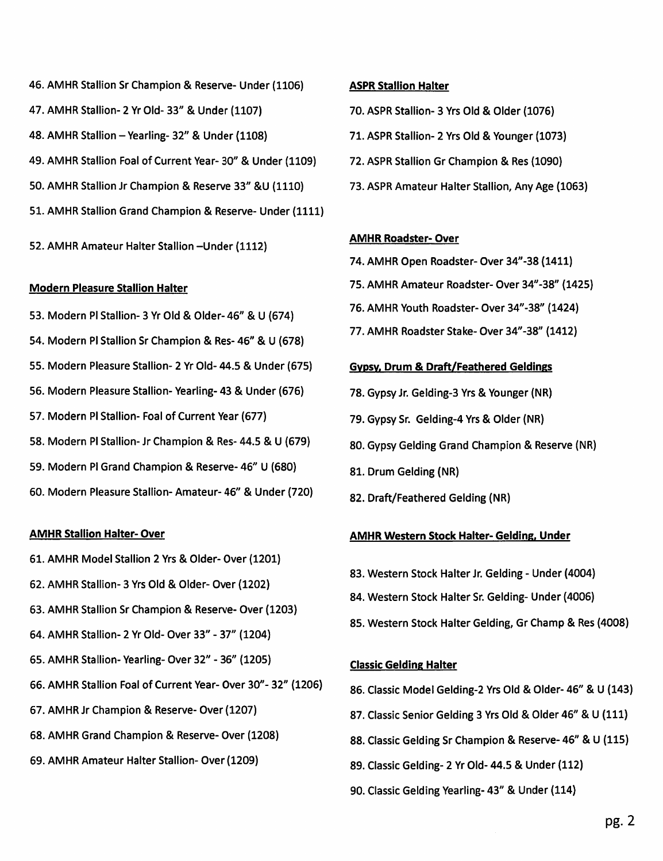- 46. AMHR Stallion Sr Champion & Reserve- Under (1106) 47. AMHR Stallion- 2 Yr Old- 33" & Under (1107) 48. AMHR Stallion - Yearling- 32" & Under (1108) 49. AMHR Stallion Foal of Current Year-30" & Under (1109) 50. AMHR Stallion Jr Champion & Reserve 33" &U (1110) 51. AMHR Stallion Grand Champion & Reserve- Under (1111)
- 52. AMHR Amateur Halter Stallion Under (1112)

### **Modern Pleasure Stallion Halter**

53. Modern Pl Stallion- 3 Yr Old & Older- 46" & U (674) 54. Modern PI Stallion Sr Champion & Res- 46" & U (678) 55. Modern Pleasure Stallion- 2 Yr Old- 44.5 & Under (675) 56. Modern Pleasure Stallion-Yearling- 43 & Under (676) 57. Modern Pl Stallion- Foal of Current Year (677) 58. Modern PI Stallion- Jr Champion & Res- 44.5 & U (679) 59. Modern PI Grand Champion & Reserve-46" U (680) 60. Modern Pleasure Stallion-Amateur-46" & Under (720)

# **AMHR Stallion Halter-Over**

- 61. AMHR Model Stallion 2 Yrs & Older-Over (1201)
- 62. AMHR Stallion- 3 Yrs Old & Older- Over (1202)
- 63. AMHR Stallion Sr Champion & Reserve- Over (1203)
- 64. AMHR Stallion- 2 Yr Old- Over 33" 37" (1204)
- 65. AMHR Stallion-Yearling-Over 32" 36" (1205)
- 66. AMHR Stallion Foal of Current Year-Over 30"-32" (1206)
- 67. AMHR Jr Champion & Reserve-Over (1207)
- 68. AMHR Grand Champion & Reserve-Over (1208)
- 69. AMHR Amateur Halter Stallion- Over (1209)

### **ASPR Stallion Halter**

- 70. ASPR Stallion- 3 Yrs Old & Older (1076)
- 71. ASPR Stallion- 2 Yrs Old & Younger (1073)
- 72. ASPR Stallion Gr Champion & Res (1090)
- 73. ASPR Amateur Halter Stallion, Any Age (1063)

# **AMHR Roadster- Over**

- 74. AMHR Open Roadster- Over 34"-38 (1411)
- 75. AMHR Amateur Roadster- Over 34"-38" (1425)
- 76. AMHR Youth Roadster- Over 34"-38" (1424)
- 77. AMHR Roadster Stake-Over 34"-38" (1412)

# **Gypsy, Drum & Draft/Feathered Geldings**

- 78. Gypsy Jr. Gelding-3 Yrs & Younger (NR)
- 79. Gypsy Sr. Gelding-4 Yrs & Older (NR)
- 80. Gypsy Gelding Grand Champion & Reserve (NR)
- 81. Drum Gelding (NR)
- 82. Draft/Feathered Gelding (NR)

# **AMHR Western Stock Halter- Gelding, Under**

- 83. Western Stock Halter Jr. Gelding Under (4004)
- 84. Western Stock Halter Sr. Gelding- Under (4006)
- 85. Western Stock Halter Gelding, Gr Champ & Res (4008)

# **Classic Gelding Halter**

- 86. Classic Model Gelding-2 Yrs Old & Older-46" & U (143)
- 87. Classic Senior Gelding 3 Yrs Old & Older 46" & U (111)
- 88. Classic Gelding Sr Champion & Reserve-46" & U (115)
- 89. Classic Gelding- 2 Yr Old- 44.5 & Under (112)
- 90. Classic Gelding Yearling-43" & Under (114)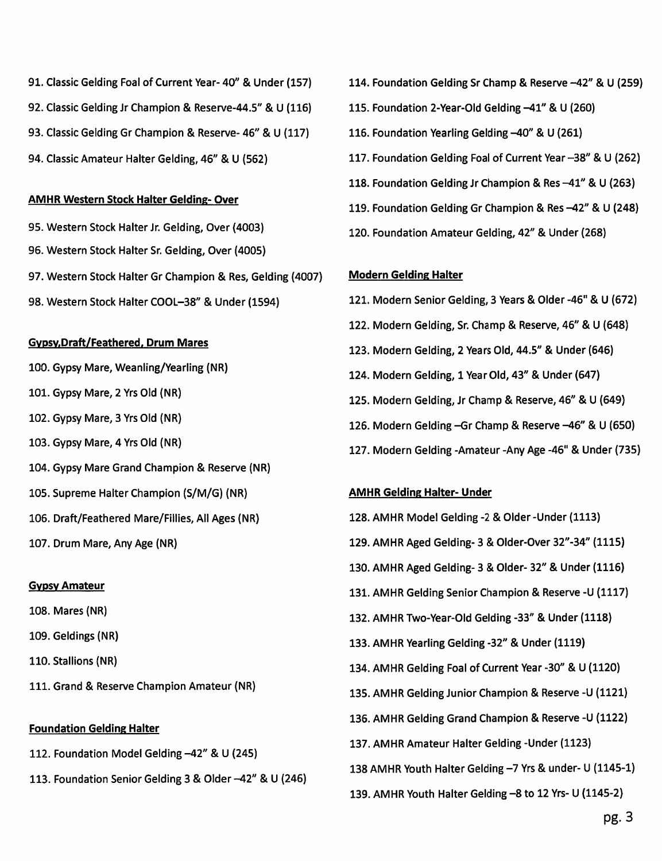- 91. Classic Gelding Foal of Current Year-40" & Under (157)
- 92. Classic Gelding Jr Champion & Reserve-44.5" & U (116)
- 93. Classic Gelding Gr Champion & Reserve-46" & U (117)
- 94. Classic Amateur Halter Gelding, 46" & U (562)

# **AMHR Western Stock Halter Gelding- Over**

95. Western Stock Halter Jr. Gelding, Over (4003) 96. Western Stock Halter Sr. Gelding, Over (4005) 97. Western Stock Halter Gr Champion & Res, Gelding (4007) 98. Western Stock Halter COOL-38" & Under (1594)

# **Gypsy, Draft/Feathered, Drum Mares**

- 100. Gypsy Mare, Weanling/Yearling (NR)
- 101. Gypsy Mare, 2 Yrs Old (NR)
- 102. Gypsy Mare, 3 Yrs Old (NR)
- 103. Gypsy Mare, 4 Yrs Old (NR)
- 104. Gypsy Mare Grand Champion & Reserve (NR)
- 105. Supreme Halter Champion (S/M/G) (NR)
- 106. Draft/Feathered Mare/Fillies, All Ages (NR)
- 107. Drum Mare, Any Age (NR)

# **Gypsy Amateur**

- 108. Mares (NR)
- 109. Geldings (NR)
- 110. Stallions (NR)
- 111. Grand & Reserve Champion Amateur (NR)

# **Foundation Gelding Halter**

- 112. Foundation Model Gelding -42" & U (245)
- 113. Foundation Senior Gelding 3 & Older -42" & U (246)
- 114. Foundation Gelding Sr Champ & Reserve -42" & U (259)
- 115. Foundation 2-Year-Old Gelding -41" & U (260)
- 116. Foundation Yearling Gelding -40" & U (261)
- 117. Foundation Gelding Foal of Current Year -38" & U (262)
- 118. Foundation Gelding Jr Champion & Res -41" & U (263)
- 119. Foundation Gelding Gr Champion & Res -42" & U (248)
- 120. Foundation Amateur Gelding, 42" & Under (268)

# **Modern Gelding Halter**

- 121. Modern Senior Gelding, 3 Years & Older -46" & U (672) 122. Modern Gelding, Sr. Champ & Reserve, 46" & U (648)
- 123. Modern Gelding, 2 Years Old, 44.5" & Under (646)
- 124. Modern Gelding, 1 Year Old, 43" & Under (647)
- 125. Modern Gelding, Jr Champ & Reserve, 46" & U (649)
- 126. Modern Gelding Gr Champ & Reserve 46" & U (650)
- 127. Modern Gelding -Amateur -Any Age -46" & Under (735)

# **AMHR Gelding Halter- Under**

128. AMHR Model Gelding -2 & Older - Under (1113) 129. AMHR Aged Gelding- 3 & Older-Over 32"-34" (1115) 130. AMHR Aged Gelding- 3 & Older- 32" & Under (1116) 131. AMHR Gelding Senior Champion & Reserve -U (1117) 132. AMHR Two-Year-Old Gelding -33" & Under (1118) 133. AMHR Yearling Gelding -32" & Under (1119) 134. AMHR Gelding Foal of Current Year -30" & U (1120) 135. AMHR Gelding Junior Champion & Reserve -U (1121) 136. AMHR Gelding Grand Champion & Reserve -U (1122) 137. AMHR Amateur Halter Gelding - Under (1123) 138 AMHR Youth Halter Gelding -7 Yrs & under- U (1145-1) 139. AMHR Youth Halter Gelding -8 to 12 Yrs- U (1145-2)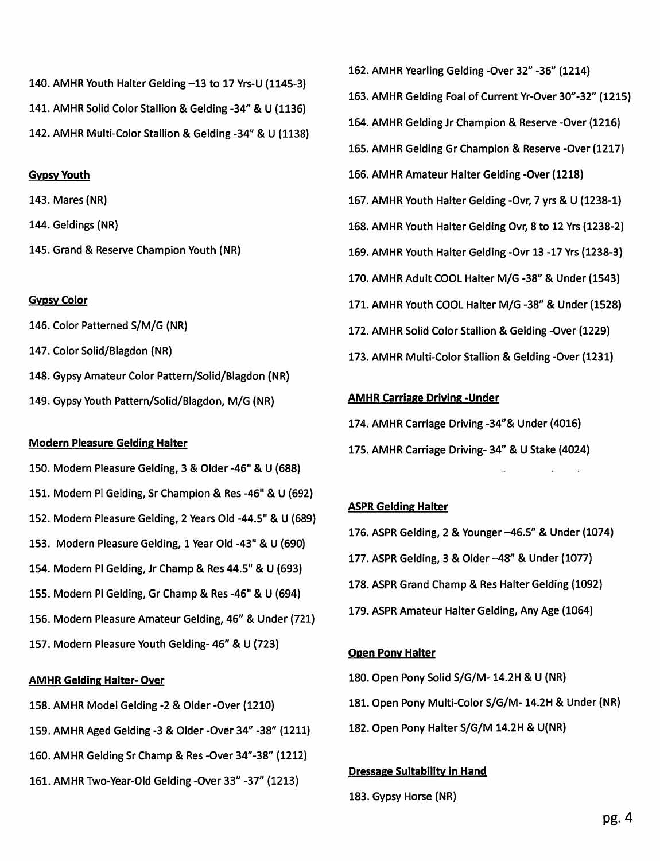140. AMHR Youth Halter Gelding -13 to 17 Yrs-U (1145-3) 141. AMHR Solid Color Stallion & Gelding -34" & U (1136) 142. AMHR Multi-Color Stallion & Gelding -34" & U (1138)

### **Gypsy Youth**

143. Mares (NR)

- 144. Geldings (NR)
- 145. Grand & Reserve Champion Youth (NR)

### **Gypsy Color**

- 146. Color Patterned S/M/G (NR)
- 147. Color Solid/Blagdon (NR)
- 148. Gypsy Amateur Color Pattern/Solid/Blagdon (NR)
- 149. Gypsy Youth Pattern/Solid/Blagdon, M/G (NR)

### **Modern Pleasure Gelding Halter**

150. Modern Pleasure Gelding, 3 & Older -46" & U (688) 151. Modern Pl Gelding, Sr Champion & Res -46" & U (692) 152. Modern Pleasure Gelding, 2 Years Old -44.5" & U (689) 153. Modern Pleasure Gelding, 1 Year Old -43" & U (690) 154. Modern PI Gelding, Jr Champ & Res 44.5" & U (693) 155. Modern PI Gelding, Gr Champ & Res -46" & U (694) 156. Modern Pleasure Amateur Gelding, 46" & Under (721) 157. Modern Pleasure Youth Gelding- 46" & U (723)

### **AMHR Gelding Halter-Over**

- 158. AMHR Model Gelding -2 & Older -Over (1210)
- 159. AMHR Aged Gelding -3 & Older -Over 34" -38" (1211)
- 160. AMHR Gelding Sr Champ & Res -Over 34"-38" (1212)
- 161. AMHR Two-Year-Old Gelding -Over 33" -37" (1213)

163. AMHR Gelding Foal of Current Yr-Over 30"-32" (1215) 164. AMHR Gelding Jr Champion & Reserve -Over (1216) 165. AMHR Gelding Gr Champion & Reserve -Over (1217) 166. AMHR Amateur Halter Gelding -Over (1218) 167. AMHR Youth Halter Gelding -Ovr, 7 yrs & U (1238-1) 168. AMHR Youth Halter Gelding Ovr, 8 to 12 Yrs (1238-2) 169. AMHR Youth Halter Gelding -Ovr 13 -17 Yrs (1238-3) 170. AMHR Adult COOL Halter M/G -38" & Under (1543) 171. AMHR Youth COOL Halter M/G -38" & Under (1528) 172. AMHR Solid Color Stallion & Gelding -Over (1229) 173. AMHR Multi-Color Stallion & Gelding -Over (1231)

162. AMHR Yearling Gelding -Over 32" -36" (1214)

#### **AMHR Carriage Driving - Under**

- 174. AMHR Carriage Driving -34"& Under (4016)
- 175. AMHR Carriage Driving-34" & U Stake (4024)

### **ASPR Gelding Halter**

- 176. ASPR Gelding, 2 & Younger -46.5" & Under (1074)
- 177. ASPR Gelding, 3 & Older -48" & Under (1077)
- 178. ASPR Grand Champ & Res Halter Gelding (1092)
- 179. ASPR Amateur Halter Gelding, Any Age (1064)

### **Open Pony Halter**

- 180. Open Pony Solid S/G/M- 14.2H & U (NR)
- 181. Open Pony Multi-Color S/G/M-14.2H & Under (NR)
- 182. Open Pony Halter S/G/M 14.2H & U(NR)

#### **Dressage Suitability in Hand**

183. Gypsy Horse (NR)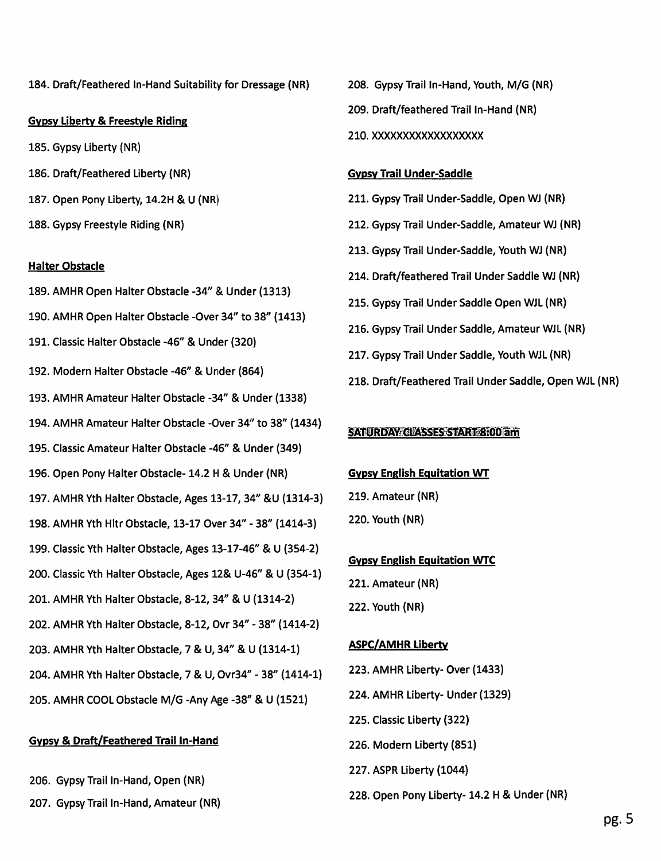184. Draft/Feathered In-Hand Suitability for Dressage (NR)

### **Gypsy Liberty & Freestyle Riding**

- 185. Gypsy Liberty (NR)
- 186. Draft/Feathered Liberty (NR)
- 187. Open Pony Liberty, 14.2H & U (NR)
- 188. Gypsy Freestyle Riding (NR)

### **Halter Obstacle**

- 189. AMHR Open Halter Obstacle -34" & Under (1313) 190. AMHR Open Halter Obstacle -Over 34" to 38" (1413) 191. Classic Halter Obstacle -46" & Under (320) 192. Modern Halter Obstacle -46" & Under (864) 193. AMHR Amateur Halter Obstacle -34" & Under (1338) 194. AMHR Amateur Halter Obstacle -Over 34" to 38" (1434) 195. Classic Amateur Halter Obstacle -46" & Under (349) 196. Open Pony Halter Obstacle- 14.2 H & Under (NR) 197. AMHR Yth Halter Obstacle, Ages 13-17, 34" & U (1314-3) 198. AMHR Yth Hltr Obstacle, 13-17 Over 34" - 38" (1414-3) 199. Classic Yth Halter Obstacle, Ages 13-17-46" & U (354-2) 200. Classic Yth Halter Obstacle, Ages 12& U-46" & U (354-1) 201. AMHR Yth Halter Obstacle, 8-12, 34" & U (1314-2) 202. AMHR Yth Halter Obstacle, 8-12, Ovr 34" - 38" (1414-2) 203. AMHR Yth Halter Obstacle, 7 & U, 34" & U (1314-1) 204. AMHR Yth Halter Obstacle, 7 & U, Ovr34" - 38" (1414-1)
- 205. AMHR COOL Obstacle M/G -Any Age -38" & U (1521)

# **Gypsy & Draft/Feathered Trail In-Hand**

- 206. Gypsy Trail In-Hand, Open (NR)
- 207. Gypsy Trail In-Hand, Amateur (NR)
- 208. Gypsy Trail In-Hand, Youth, M/G (NR)
- 209. Draft/feathered Trail In-Hand (NR)

# 210. XXXXXXXXXXXXXXXXX

# **Gypsy Trail Under-Saddle**

- 211. Gypsy Trail Under-Saddle, Open WJ (NR)
- 212. Gypsy Trail Under-Saddle, Amateur WJ (NR)
- 213. Gypsy Trail Under-Saddle, Youth WJ (NR)
- 214. Draft/feathered Trail Under Saddle WJ (NR)
- 215. Gypsy Trail Under Saddle Open WJL (NR)
- 216. Gypsy Trail Under Saddle, Amateur WJL (NR)
- 217. Gypsy Trail Under Saddle, Youth WJL (NR)
- 218. Draft/Feathered Trail Under Saddle, Open WJL (NR)

# **SATURDAY CLASSES START 8:00 am**

# **Gypsy English Equitation WT**

- 219. Amateur (NR)
- 220. Youth (NR)

# **Gypsy English Equitation WTC**

- 221. Amateur (NR)
- 222. Youth (NR)

# **ASPC/AMHR Liberty**

- 223. AMHR Liberty- Over (1433)
- 224. AMHR Liberty- Under (1329)
- 225. Classic Liberty (322)
- 226. Modern Liberty (851)
- 227. ASPR Liberty (1044)
- 228. Open Pony Liberty- 14.2 H & Under (NR)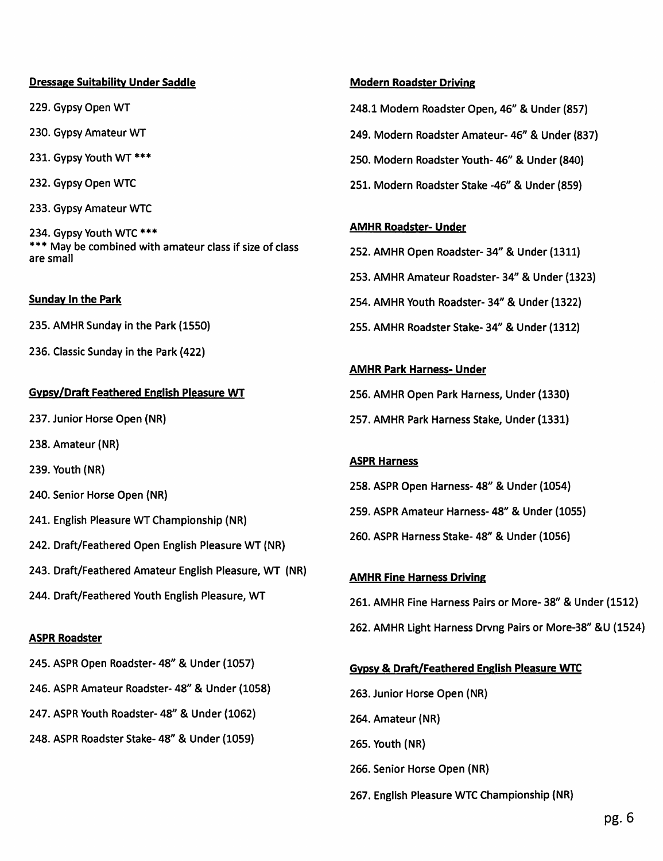# **Dressage Suitability Under Saddle**

229. Gypsy Open WT

230. Gypsy Amateur WT

231. Gypsy Youth WT \*\*\*

232. Gypsy Open WTC

233. Gypsy Amateur WTC

234. Gypsy Youth WTC \*\*\* \*\*\* May be combined with amateur class if size of class are small

# **Sunday In the Park**

235. AMHR Sunday in the Park (1550)

236. Classic Sunday in the Park (422)

# **Gypsy/Draft Feathered English Pleasure WT**

237. Junior Horse Open (NR)

- 238. Amateur (NR)
- 239. Youth (NR)
- 240. Senior Horse Open (NR)
- 241. English Pleasure WT Championship (NR)
- 242. Draft/Feathered Open English Pleasure WT (NR)
- 243. Draft/Feathered Amateur English Pleasure, WT (NR)
- 244. Draft/Feathered Youth English Pleasure, WT

# **ASPR Roadster**

- 245. ASPR Open Roadster- 48" & Under (1057)
- 246. ASPR Amateur Roadster- 48" & Under (1058)
- 247. ASPR Youth Roadster- 48" & Under (1062)
- 248. ASPR Roadster Stake- 48" & Under (1059)

### **Modern Roadster Driving**

248.1 Modern Roadster Open, 46" & Under (857)

249. Modern Roadster Amateur- 46" & Under (837)

250. Modern Roadster Youth- 46" & Under (840)

251. Modern Roadster Stake -46" & Under (859)

# **AMHR Roadster- Under**

- 252. AMHR Open Roadster- 34" & Under (1311)
- 253. AMHR Amateur Roadster- 34" & Under (1323)

254. AMHR Youth Roadster- 34" & Under (1322)

255. AMHR Roadster Stake- 34" & Under (1312)

# **AMHR Park Harness- Under**

256. AMHR Open Park Harness, Under (1330) 257. AMHR Park Harness Stake, Under (1331)

# **ASPR Harness**

258. ASPR Open Harness- 48" & Under (1054) 259. ASPR Amateur Harness- 48" & Under (1055) 260. ASPR Harness Stake- 48" & Under (1056)

### **AMHR Fine Harness Driving**

261. AMHR Fine Harness Pairs or More-38" & Under (1512) 262. AMHR Light Harness Drvng Pairs or More-38" &U (1524)

# **Gypsy & Draft/Feathered English Pleasure WTC**

- 263. Junior Horse Open (NR)
- 264. Amateur (NR)
- 265. Youth (NR)
- 266. Senior Horse Open (NR)
- 267. English Pleasure WTC Championship (NR)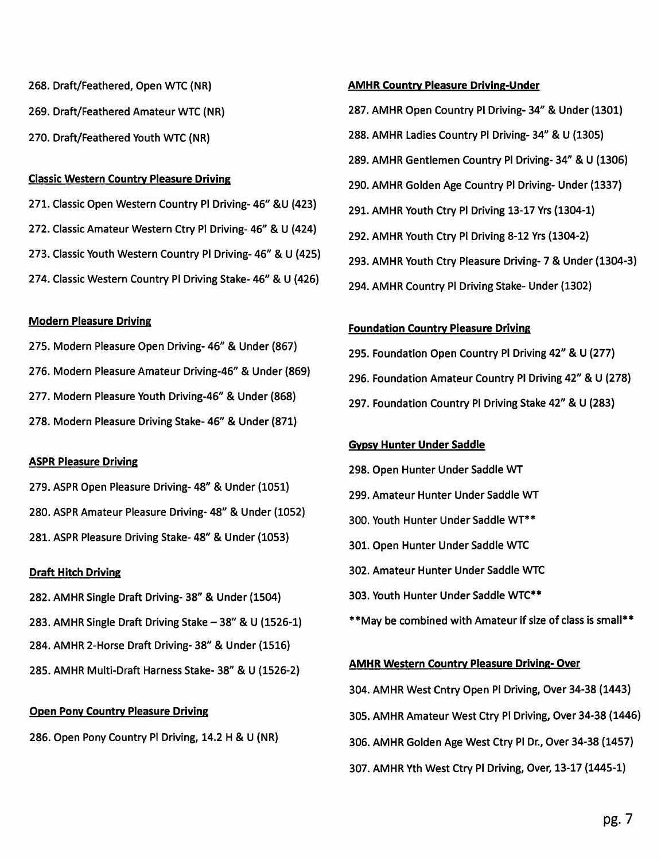- 268. Draft/Feathered, Open WTC (NR)
- 269. Draft/Feathered Amateur WTC (NR)
- 270. Draft/Feathered Youth WTC (NR)

### **Classic Western Country Pleasure Driving**

271. Classic Open Western Country PI Driving-46" &U (423) 272. Classic Amateur Western Ctry Pl Driving- 46" & U (424) 273. Classic Youth Western Country PI Driving-46" & U (425) 274. Classic Western Country PI Driving Stake-46" & U (426)

### **Modern Pleasure Driving**

275. Modern Pleasure Open Driving-46" & Under (867) 276. Modern Pleasure Amateur Driving-46" & Under (869) 277. Modern Pleasure Youth Driving-46" & Under (868) 278. Modern Pleasure Driving Stake- 46" & Under (871)

### **ASPR Pleasure Driving**

279. ASPR Open Pleasure Driving-48" & Under (1051) 280. ASPR Amateur Pleasure Driving- 48" & Under (1052) 281. ASPR Pleasure Driving Stake-48" & Under (1053)

# **Draft Hitch Driving**

- 282. AMHR Single Draft Driving-38" & Under (1504)
- 283. AMHR Single Draft Driving Stake 38" & U (1526-1)
- 284. AMHR 2-Horse Draft Driving-38" & Under (1516)
- 285. AMHR Multi-Draft Harness Stake- 38" & U (1526-2)

# **Open Pony Country Pleasure Driving**

286. Open Pony Country Pl Driving, 14.2 H & U (NR)

# **AMHR Country Pleasure Driving-Under**

287. AMHR Open Country PI Driving- 34" & Under (1301) 288. AMHR Ladies Country PI Driving-34" & U (1305) 289. AMHR Gentlemen Country PI Driving-34" & U (1306) 290. AMHR Golden Age Country Pl Driving- Under (1337) 291. AMHR Youth Ctry Pl Driving 13-17 Yrs (1304-1) 292. AMHR Youth Ctry Pl Driving 8-12 Yrs (1304-2) 293. AMHR Youth Ctry Pleasure Driving- 7 & Under (1304-3) 294. AMHR Country PI Driving Stake- Under (1302)

### **Foundation Country Pieasure Driving**

295. Foundation Open Country Pl Driving 42" & U (277) 296. Foundation Amateur Country PI Driving 42" & U (278) 297. Foundation Country PI Driving Stake 42" & U (283)

# **Gypsy Hunter Under Saddle**

- 298. Open Hunter Under Saddle WT
- 299. Amateur Hunter Under Saddle WT
- 300. Youth Hunter Under Saddle WT\*\*
- 301. Open Hunter Under Saddle WTC
- 302. Amateur Hunter Under Saddle WTC
- 303. Youth Hunter Under Saddle WTC\*\*
- \*\*May be combined with Amateur if size of class is small\*\*

# **AMHR Western Country Pleasure Driving-Over**

- 304. AMHR West Cntry Open Pl Driving, Over 34-38 (1443)
- 305. AMHR Amateur West Ctry PI Driving, Over 34-38 (1446)
- 306. AMHR Golden Age West Ctry PI Dr., Over 34-38 (1457)
- 307. AMHR Yth West Ctry PI Driving, Over, 13-17 (1445-1)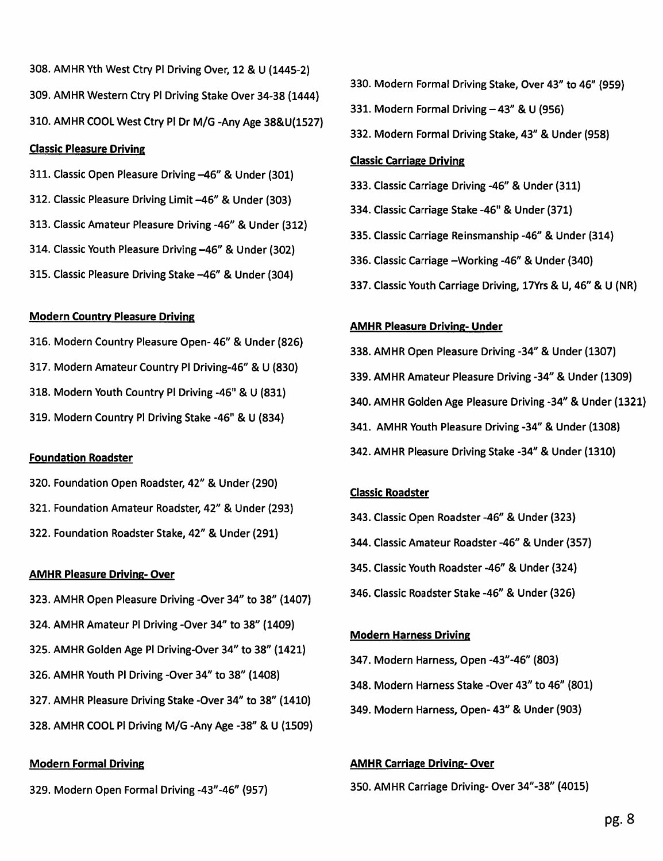308. AMHR Yth West Ctry Pl Driving Over, 12 & U (1445-2) 309. AMHR Western Ctry PI Driving Stake Over 34-38 (1444) 310. AMHR COOL West Ctry PI Dr M/G -Any Age 38&U(1527)

### **Classic Pleasure Driving**

- 311. Classic Open Pleasure Driving -46" & Under (301)
- 312. Classic Pleasure Driving Limit -46" & Under (303)
- 313. Classic Amateur Pleasure Driving -46" & Under (312)
- 314. Classic Youth Pleasure Driving -46" & Under (302)
- 315. Classic Pleasure Driving Stake -46" & Under (304)

# **Modern Country Pleasure Driving**

- 316. Modern Country Pleasure Open-46" & Under (826)
- 317. Modern Amateur Country PI Driving-46" & U (830)
- 318. Modern Youth Country PI Driving -46" & U (831)
- 319. Modern Country Pl Driving Stake -46" & U (834)

# **Foundation Roadster**

- 320. Foundation Open Roadster, 42" & Under (290)
- 321. Foundation Amateur Roadster, 42" & Under (293)
- 322. Foundation Roadster Stake, 42" & Under (291)

# **AMHR Pleasure Driving- Over**

- 323. AMHR Open Pleasure Driving -Over 34" to 38" (1407)
- 324. AMHR Amateur PI Driving -Over 34" to 38" (1409)
- 325. AMHR Golden Age Pl Driving-Over 34" to 38" (1421)
- 326. AMHR Youth PI Driving -Over 34" to 38" (1408)
- 327. AMHR Pleasure Driving Stake -Over 34" to 38" (1410)
- 328. AMHR COOL PI Driving M/G -Any Age -38" & U (1509)

# **Modern Formal Driving**

329. Modern Open Formal Driving -43"-46" (957)

- 330. Modern Formal Driving Stake, Over 43" to 46" (959)
- 331. Modern Formal Driving 43" & U (956)
- 332. Modern Formal Driving Stake, 43" & Under (958)

# **Classic Carriage Driving**

- 333. Classic Carriage Driving -46" & Under (311)
- 334. Classic Carriage Stake -46" & Under (371)
- 335. Classic Carriage Reinsmanship -46" & Under (314)
- 336. Classic Carriage Working 46" & Under (340)
- 337. Classic Youth Carriage Driving, 17Yrs & U, 46" & U (NR)

# **AMHR Pleasure Driving- Under**

- 338. AMHR Open Pleasure Driving -34" & Under (1307) 339. AMHR Amateur Pleasure Driving -34" & Under (1309) 340. AMHR Golden Age Pleasure Driving -34" & Under (1321) 341. AMHR Youth Pleasure Driving -34" & Under (1308)
- 342. AMHR Pleasure Driving Stake -34" & Under (1310)

# **Classic Roadster**

- 343. Classic Open Roadster -46" & Under (323)
- 344. Classic Amateur Roadster -46" & Under (357)
- 345. Classic Youth Roadster -46" & Under (324)
- 346. Classic Roadster Stake -46" & Under (326)

# **Modern Harness Driving**

- 347. Modern Harness, Open -43"-46" (803)
- 348. Modern Harness Stake -Over 43" to 46" (801)
- 349. Modern Harness, Open- 43" & Under (903)

# **AMHR Carriage Driving-Over**

350. AMHR Carriage Driving- Over 34"-38" (4015)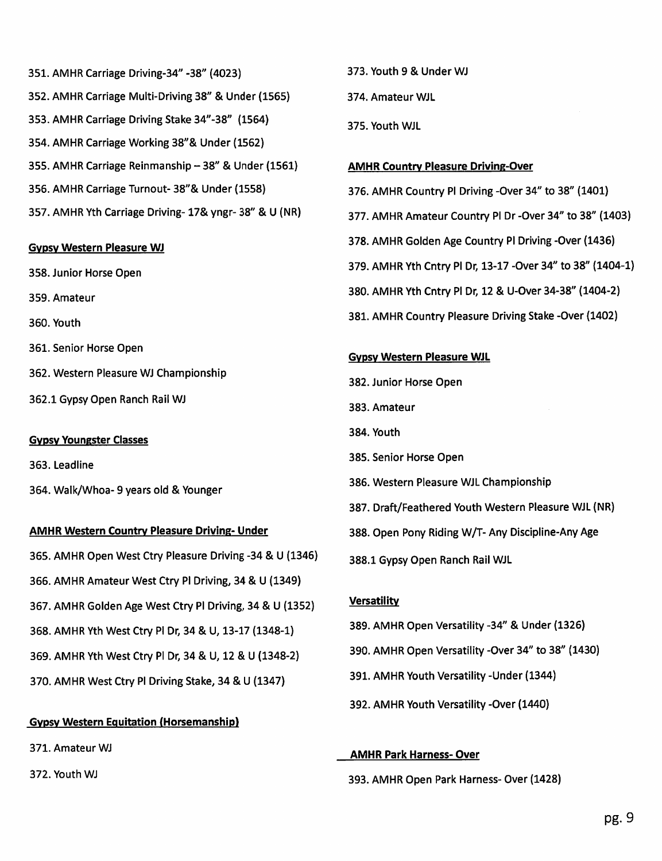351. AMHR Carriage Driving-34" -38" (4023) 352. AMHR Carriage Multi-Driving 38" & Under (1565) 353. AMHR Carriage Driving Stake 34"-38" (1564) 354. AMHR Carriage Working 38"& Under (1562) 355. AMHR Carriage Reinmanship - 38" & Under (1561) 356. AMHR Carriage Turnout-38"& Under (1558) 357. AMHR Yth Carriage Driving-17& yngr-38" & U (NR)

### **Gypsy Western Pleasure WJ**

- 358. Junior Horse Open
- 359. Amateur
- 360. Youth
- 361. Senior Horse Open
- 362. Western Pleasure WJ Championship
- 362.1 Gypsy Open Ranch Rail WJ

# **Gypsy Youngster Classes**

363. Leadline

364. Walk/Whoa- 9 years old & Younger

### **AMHR Western Country Pleasure Driving- Under**

- 365. AMHR Open West Ctry Pleasure Driving -34 & U (1346) 366. AMHR Amateur West Ctry Pl Driving, 34 & U (1349) 367. AMHR Golden Age West Ctry Pl Driving, 34 & U (1352) 368. AMHR Yth West Ctry Pl Dr, 34 & U, 13-17 (1348-1) 369. AMHR Yth West Ctry Pl Dr, 34 & U, 12 & U (1348-2)
- 370. AMHR West Ctry PI Driving Stake, 34 & U (1347)

# **Gypsy Western Equitation (Horsemanship)**

371. Amateur WJ

372. Youth WJ

- 373. Youth 9 & Under WJ
- 374. Amateur WJL
- 375. Youth WJL

### **AMHR Country Pleasure Driving-Over**

- 376. AMHR Country Pl Driving -Over 34" to 38" (1401)
- 377. AMHR Amateur Country PI Dr -Over 34" to 38" (1403)
- 378. AMHR Golden Age Country PI Driving -Over (1436)
- 379. AMHR Yth Cntry PI Dr. 13-17 -Over 34" to 38" (1404-1)
- 380. AMHR Yth Cntry PI Dr, 12 & U-Over 34-38" (1404-2)
- 381. AMHR Country Pleasure Driving Stake -Over (1402)

# **Gypsy Western Pleasure WJL**

- 382. Junior Horse Open
- 383. Amateur
- 384. Youth
- 385. Senior Horse Open
- 386. Western Pleasure WJL Championship
- 387. Draft/Feathered Youth Western Pleasure WJL (NR)
- 388. Open Pony Riding W/T- Any Discipline-Any Age
- 388.1 Gypsy Open Ranch Rail WJL

# **Versatility**

- 389. AMHR Open Versatility -34" & Under (1326)
- 390. AMHR Open Versatility -Over 34" to 38" (1430)
- 391. AMHR Youth Versatility Under (1344)
- 392. AMHR Youth Versatility -Over (1440)

# **AMHR Park Harness-Over**

393. AMHR Open Park Harness-Over (1428)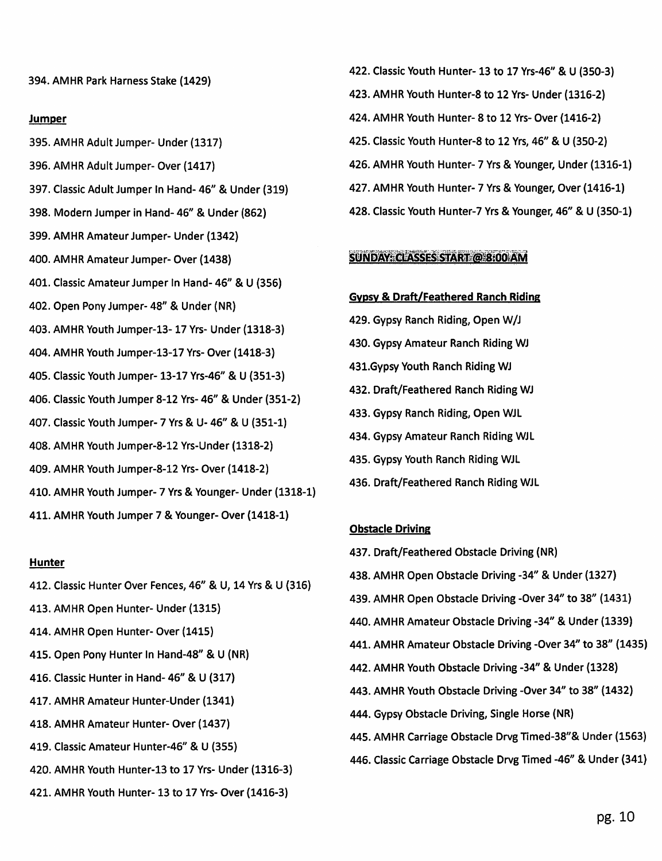394. AMHR Park Harness Stake (1429)

### **Jumper**

- 395. AMHR Adult Jumper- Under (1317)
- 396. AMHR Adult Jumper- Over (1417)
- 397. Classic Adult Jumper In Hand- 46" & Under (319)
- 398. Modern Jumper in Hand-46" & Under (862)
- 399. AMHR Amateur Jumper- Under (1342)
- 400. AMHR Amateur Jumper- Over (1438)
- 401. Classic Amateur Jumper In Hand- 46" & U (356)
- 402. Open Pony Jumper- 48" & Under (NR)
- 403. AMHR Youth Jumper-13-17 Yrs- Under (1318-3)
- 404. AMHR Youth Jumper-13-17 Yrs- Over (1418-3)
- 405. Classic Youth Jumper- 13-17 Yrs-46" & U (351-3)
- 406. Classic Youth Jumper 8-12 Yrs- 46" & Under (351-2)
- 407. Classic Youth Jumper- 7 Yrs & U-46" & U (351-1)
- 408. AMHR Youth Jumper-8-12 Yrs-Under (1318-2)
- 409. AMHR Youth Jumper-8-12 Yrs- Over (1418-2)
- 410. AMHR Youth Jumper- 7 Yrs & Younger- Under (1318-1)
- 411. AMHR Youth Jumper 7 & Younger-Over (1418-1)

### **Hunter**

- 412. Classic Hunter Over Fences, 46" & U, 14 Yrs & U (316)
- 413. AMHR Open Hunter- Under (1315)
- 414. AMHR Open Hunter-Over (1415)
- 415. Open Pony Hunter In Hand-48" & U (NR)
- 416. Classic Hunter in Hand- 46" & U (317)
- 417. AMHR Amateur Hunter-Under (1341)
- 418. AMHR Amateur Hunter-Over (1437)
- 419. Classic Amateur Hunter-46" & U (355)
- 420. AMHR Youth Hunter-13 to 17 Yrs- Under (1316-3)
- 421. AMHR Youth Hunter- 13 to 17 Yrs- Over (1416-3)

422. Classic Youth Hunter- 13 to 17 Yrs-46" & U (350-3) 423. AMHR Youth Hunter-8 to 12 Yrs- Under (1316-2) 424. AMHR Youth Hunter- 8 to 12 Yrs- Over (1416-2) 425. Classic Youth Hunter-8 to 12 Yrs. 46" & U (350-2) 426. AMHR Youth Hunter- 7 Yrs & Younger, Under (1316-1) 427. AMHR Youth Hunter- 7 Yrs & Younger, Over (1416-1) 428. Classic Youth Hunter-7 Yrs & Younger, 46" & U (350-1)

### **SUNDAY: CLASSES START @ 8:00 AM**

### **Gypsy & Draft/Feathered Ranch Riding**

- 429. Gypsy Ranch Riding, Open W/J
- 430. Gypsy Amateur Ranch Riding WJ
- 431.Gypsy Youth Ranch Riding WJ
- 432. Draft/Feathered Ranch Riding WJ
- 433. Gypsy Ranch Riding, Open WJL
- 434. Gypsy Amateur Ranch Riding WJL
- 435. Gypsy Youth Ranch Riding WJL
- 436. Draft/Feathered Ranch Riding WJL

### **Obstacle Driving**

437. Draft/Feathered Obstacle Driving (NR) 438. AMHR Open Obstacle Driving -34" & Under (1327) 439. AMHR Open Obstacle Driving -Over 34" to 38" (1431) 440. AMHR Amateur Obstacle Driving -34" & Under (1339) 441. AMHR Amateur Obstacle Driving -Over 34" to 38" (1435) 442. AMHR Youth Obstacle Driving -34" & Under (1328) 443. AMHR Youth Obstacle Driving -Over 34" to 38" (1432) 444. Gypsy Obstacle Driving, Single Horse (NR) 445. AMHR Carriage Obstacle Drvg Timed-38"& Under (1563) 446. Classic Carriage Obstacle Drvg Timed -46" & Under (341)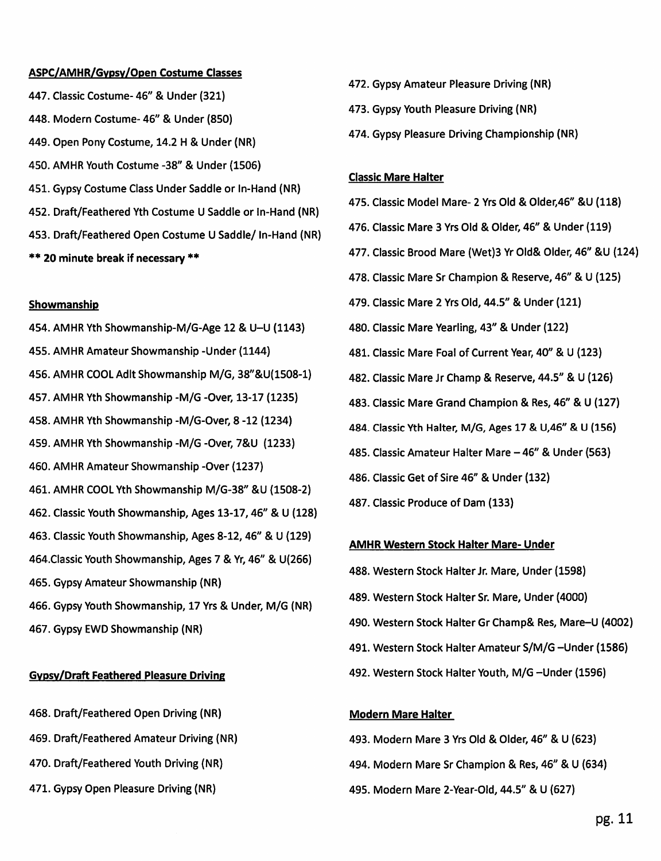#### ASPC/AMHR/Gypsy/Open Costume Classes

447. Classic Costume-46" & Under (321) 448. Modern Costume- 46" & Under (850) 449. Open Pony Costume, 14.2 H & Under (NR) 450. AMHR Youth Costume -38" & Under (1506) 451. Gypsy Costume Class Under Saddle or In-Hand (NR) 452. Draft/Feathered Yth Costume U Saddle or In-Hand (NR) 453. Draft/Feathered Open Costume U Saddle/ In-Hand (NR) \*\* 20 minute break if necessary \*\*

#### Showmanship

454. AMHR Yth Showmanship-M/G-Age 12 & U-U (1143) 455. AMHR Amateur Showmanship - Under (1144) 456. AMHR COOL Adlt Showmanship M/G, 38"&U(1508-1) 457. AMHR Yth Showmanship -M/G -Over, 13-17 (1235) 458. AMHR Yth Showmanship - M/G-Over, 8 -12 (1234) 459. AMHR Yth Showmanship -M/G -Over, 7&U (1233) 460. AMHR Amateur Showmanship -Over (1237) 461. AMHR COOL Yth Showmanship M/G-38" &U (1508-2) 462. Classic Youth Showmanship, Ages 13-17, 46" & U (128) 463. Classic Youth Showmanship, Ages 8-12, 46" & U (129) 464. Classic Youth Showmanship, Ages 7 & Yr, 46" & U(266) 465. Gypsy Amateur Showmanship (NR) 466. Gypsy Youth Showmanship, 17 Yrs & Under, M/G (NR) 467. Gypsy EWD Showmanship (NR)

# **Gypsy/Draft Feathered Pleasure Driving**

- 468. Draft/Feathered Open Driving (NR)
- 469. Draft/Feathered Amateur Driving (NR)
- 470. Draft/Feathered Youth Driving (NR)
- 471. Gypsy Open Pleasure Driving (NR)
- 472. Gypsy Amateur Pleasure Driving (NR)
- 473. Gypsy Youth Pleasure Driving (NR)
- 474. Gypsy Pleasure Driving Championship (NR)

### **Classic Mare Halter**

- 475. Classic Model Mare- 2 Yrs Old & Older, 46" & U (118)
- 476. Classic Mare 3 Yrs Old & Older, 46" & Under (119)
- 477. Classic Brood Mare (Wet)3 Yr Old& Older, 46" &U (124)
- 478. Classic Mare Sr Champion & Reserve, 46" & U (125)
- 479. Classic Mare 2 Yrs Old, 44.5" & Under (121)
- 480. Classic Mare Yearling, 43" & Under (122)
- 481. Classic Mare Foal of Current Year, 40" & U (123)
- 482. Classic Mare Jr Champ & Reserve, 44.5" & U (126)
- 483. Classic Mare Grand Champion & Res, 46" & U (127)
- 484. Classic Yth Halter, M/G, Ages 17 & U,46" & U (156)
- 485. Classic Amateur Halter Mare 46" & Under (563)
- 486. Classic Get of Sire 46" & Under (132)
- 487. Classic Produce of Dam (133)

#### **AMHR Western Stock Halter Mare- Under**

- 488. Western Stock Halter Jr. Mare, Under (1598)
- 489. Western Stock Halter Sr. Mare, Under (4000)
- 490. Western Stock Halter Gr Champ& Res, Mare-U (4002)
- 491. Western Stock Halter Amateur S/M/G-Under (1586)
- 492. Western Stock Halter Youth, M/G Under (1596)

#### **Modern Mare Halter**

493. Modern Mare 3 Yrs Old & Older, 46" & U (623) 494. Modern Mare Sr Champion & Res, 46" & U (634) 495. Modern Mare 2-Year-Old, 44.5" & U (627)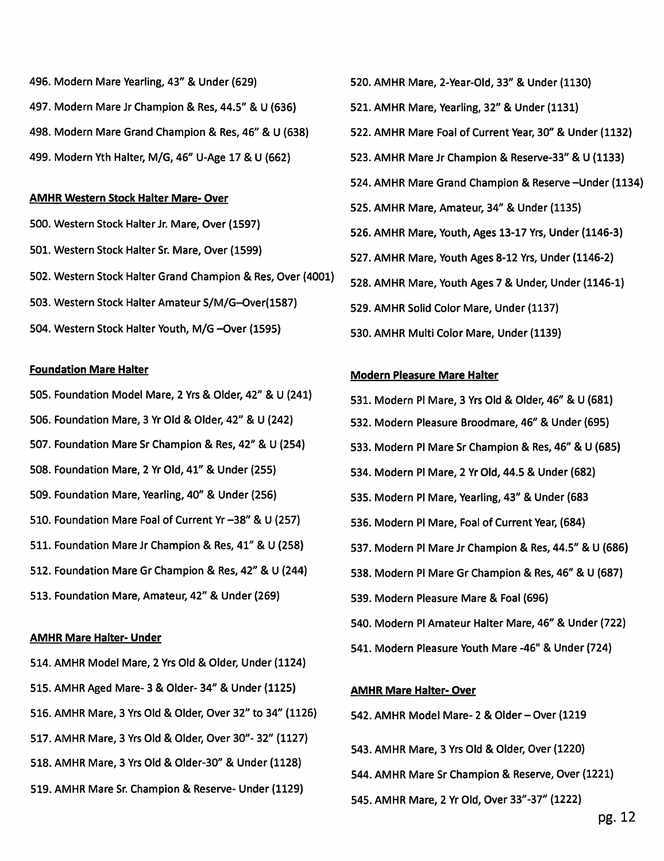496. Modern Mare Yearling, 43" & Under (629) 497. Modern Mare Jr Champion & Res, 44.5" & U (636) 498. Modern Mare Grand Champion & Res. 46" & U (638) 499. Modern Yth Halter, M/G, 46" U-Age 17 & U (662)

### **AMHR Western Stock Halter Mare- Over**

500. Western Stock Halter Jr. Mare, Over (1597) 501. Western Stock Halter Sr. Mare, Over (1599) 502. Western Stock Halter Grand Champion & Res, Over (4001) 503. Western Stock Halter Amateur S/M/G-Over(1587) 504. Western Stock Halter Youth, M/G -Over (1595)

#### **Foundation Mare Halter**

- 505. Foundation Model Mare, 2 Yrs & Older, 42" & U (241)
- 506. Foundation Mare, 3 Yr Old & Older, 42" & U (242)
- 507. Foundation Mare Sr Champion & Res, 42" & U (254)
- 508. Foundation Mare, 2 Yr Old, 41" & Under (255)
- 509. Foundation Mare, Yearling, 40" & Under (256)
- 510. Foundation Mare Foal of Current Yr -38" & U (257)
- 511. Foundation Mare Jr Champion & Res, 41" & U (258)
- 512. Foundation Mare Gr Champion & Res, 42" & U (244)
- 513. Foundation Mare, Amateur, 42" & Under (269)

#### **AMHR Mare Halter- Under**

- 514. AMHR Model Mare, 2 Yrs Old & Older, Under (1124)
- 515. AMHR Aged Mare- 3 & Older- 34" & Under (1125)
- 516. AMHR Mare, 3 Yrs Old & Older, Over 32" to 34" (1126)
- 517. AMHR Mare, 3 Yrs Old & Older, Over 30"- 32" (1127)
- 518. AMHR Mare, 3 Yrs Old & Older-30" & Under (1128)
- 519. AMHR Mare Sr. Champion & Reserve- Under (1129)
- 520. AMHR Mare, 2-Year-Old, 33" & Under (1130)
- 521. AMHR Mare, Yearling, 32" & Under (1131)
- 522. AMHR Mare Foal of Current Year, 30" & Under (1132)
- 523. AMHR Mare Jr Champion & Reserve-33" & U (1133)
- 524. AMHR Mare Grand Champion & Reserve Under (1134)
- 525. AMHR Mare, Amateur, 34" & Under (1135)
- 526. AMHR Mare, Youth, Ages 13-17 Yrs, Under (1146-3)
- 527. AMHR Mare, Youth Ages 8-12 Yrs, Under (1146-2)
- 528. AMHR Mare, Youth Ages 7 & Under, Under (1146-1)
- 529. AMHR Solid Color Mare, Under (1137)
- 530. AMHR Multi Color Mare, Under (1139)

#### **Modern Pleasure Mare Halter**

- 531. Modern Pl Mare, 3 Yrs Old & Older, 46" & U (681) 532. Modern Pleasure Broodmare, 46" & Under (695)
- 533. Modern PI Mare Sr Champion & Res, 46" & U (685)
- 534. Modern PI Mare, 2 Yr Old, 44.5 & Under (682)
- 535. Modern PI Mare, Yearling, 43" & Under (683
- 536. Modern Pl Mare, Foal of Current Year, (684)
- 537. Modern PI Mare Jr Champion & Res, 44.5" & U (686)
- 538. Modern PI Mare Gr Champion & Res, 46" & U (687)
- 539. Modern Pleasure Mare & Foal (696)
- 540. Modern PI Amateur Halter Mare, 46" & Under (722)
- 541. Modern Pleasure Youth Mare -46" & Under (724)

### **AMHR Mare Halter-Over**

- 542. AMHR Model Mare- 2 & Older Over (1219)
- 543. AMHR Mare, 3 Yrs Old & Older, Over (1220)
- 544. AMHR Mare Sr Champion & Reserve, Over (1221)
- 545. AMHR Mare, 2 Yr Old, Over 33"-37" (1222)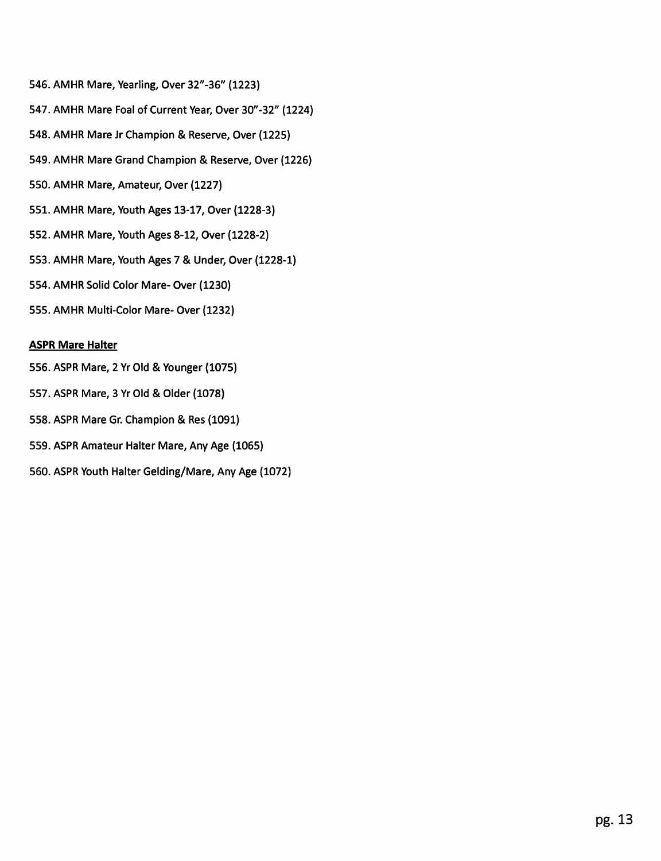- 546. AMHR Mare, Yearling, Over 32"-36" (1223)
- 547. AMHR Mare Foal of Current Year, Over 30"-32" (1224)
- 548. AMHR Mare Jr Champion & Reserve, Over (1225)
- 549. AMHR Mare Grand Champion & Reserve, Over (1226)
- 550. AMHR Mare, Amateur, Over (1227)
- 551. AMHR Mare, Youth Ages 13-17, Over (1228-3)
- 552. AMHR Mare, Youth Ages 8-12, Over (1228-2)
- 553. AMHR Mare, Youth Ages 7 & Under, Over (1228-1)
- 554. AMHR Solid Color Mare- Over (1230)
- 555. AMHR Multi-Color Mare- Over (1232)

# **ASPR Mare Halter**

- 556. ASPR Mare, 2 Yr Old & Younger (1075)
- 557. ASPR Mare, 3 Yr Old & Older (1078)
- 558. ASPR Mare Gr. Champion & Res (1091)
- 559. ASPR Amateur Halter Mare, Any Age (1065)
- 560. ASPR Youth Halter Gelding/Mare, Any Age (1072)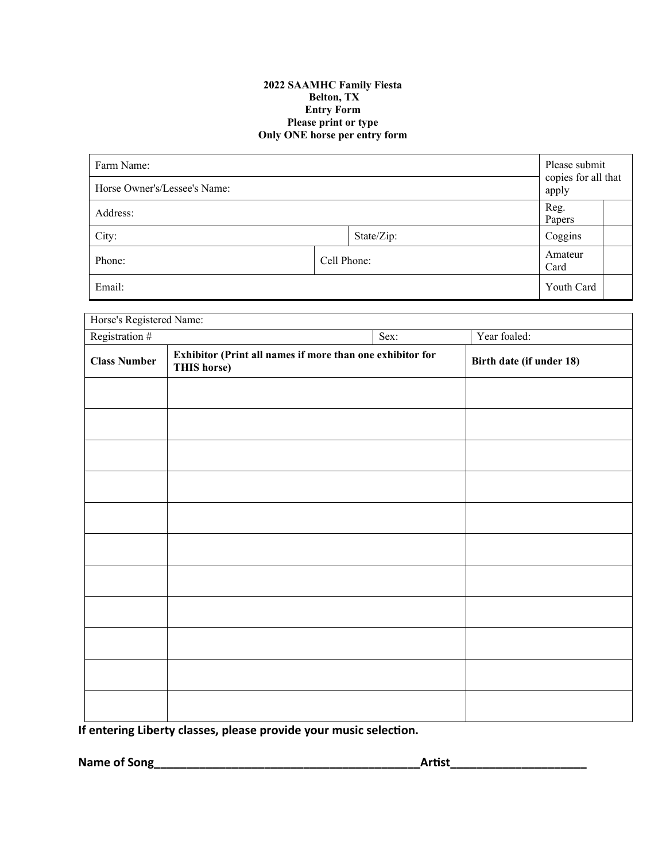### **2022 SAAMHC Family Fiesta Belton, TX Entry Form Please print or type Only ONE horse per entry form**

| Farm Name:<br>Horse Owner's/Lessee's Name: |             |            |                | Please submit<br>copies for all that<br>apply |  |
|--------------------------------------------|-------------|------------|----------------|-----------------------------------------------|--|
| Address:                                   |             |            | Reg.<br>Papers |                                               |  |
| City:                                      |             | State/Zip: |                | Coggins                                       |  |
| Phone:                                     | Cell Phone: |            |                | Amateur<br>Card                               |  |
| Email:                                     |             |            |                | Youth Card                                    |  |

| Horse's Registered Name: |                                                                          |  |                          |  |  |
|--------------------------|--------------------------------------------------------------------------|--|--------------------------|--|--|
| Registration #<br>Sex:   |                                                                          |  | Year foaled:             |  |  |
| <b>Class Number</b>      | Exhibitor (Print all names if more than one exhibitor for<br>THIS horse) |  | Birth date (if under 18) |  |  |
|                          |                                                                          |  |                          |  |  |
|                          |                                                                          |  |                          |  |  |
|                          |                                                                          |  |                          |  |  |
|                          |                                                                          |  |                          |  |  |
|                          |                                                                          |  |                          |  |  |
|                          |                                                                          |  |                          |  |  |
|                          |                                                                          |  |                          |  |  |
|                          |                                                                          |  |                          |  |  |
|                          |                                                                          |  |                          |  |  |
|                          |                                                                          |  |                          |  |  |
|                          |                                                                          |  |                          |  |  |

**If** entering Liberty classes, please provide your music selection.

**Name of Song\_\_\_\_\_\_\_\_\_\_\_\_\_\_\_\_\_\_\_\_\_\_\_\_\_\_\_\_\_\_\_\_\_\_\_\_\_\_\_\_\_ArƟst\_\_\_\_\_\_\_\_\_\_\_\_\_\_\_\_\_\_\_\_\_**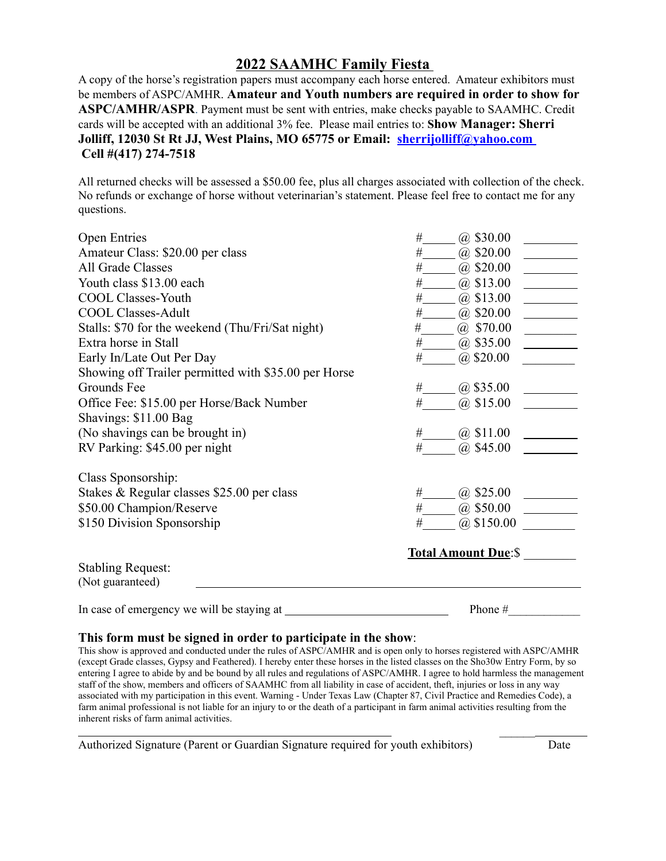# **2022 SAAMHC Family Fiesta**

A copy of the horse's registration papers must accompany each horse entered. Amateur exhibitors must be members of ASPC/AMHR. **Amateur and Youth numbers are required in order to show for ASPC/AMHR/ASPR**. Payment must be sent with entries, make checks payable to SAAMHC. Credit cards will be accepted with an additional 3% fee. Please mail entries to: **Show Manager: Sherri Jolliff, 12030 St Rt JJ, West Plains, MO 65775 or Email: sherrijolliff@yahoo.com Cell #(417) 274-7518**

All returned checks will be assessed a \$50.00 fee, plus all charges associated with collection of the check. No refunds or exchange of horse without veterinarian's statement. Please feel free to contact me for any questions.

| <b>Open Entries</b>                                  | $(a)$ \$30.00<br>#          |
|------------------------------------------------------|-----------------------------|
| Amateur Class: \$20.00 per class                     | #<br>$(a)$ \$20.00          |
| All Grade Classes                                    | $@$ \$20.00<br>#            |
| Youth class \$13.00 each                             | $@$ \$13.00<br>#            |
| <b>COOL Classes-Youth</b>                            | #<br>$\omega$ \$13.00       |
| <b>COOL Classes-Adult</b>                            | $\#$<br>$\omega$ \$20.00    |
| Stalls: \$70 for the weekend (Thu/Fri/Sat night)     | #<br>$@$ \$70.00            |
| Extra horse in Stall                                 | #<br>$(a)$ \$35.00          |
| Early In/Late Out Per Day                            | #<br>$(a)$ \$20.00          |
| Showing off Trailer permitted with \$35.00 per Horse |                             |
| Grounds Fee                                          | (a) $$35.00$<br>#           |
| Office Fee: \$15.00 per Horse/Back Number            | $(a)$ \$15.00<br>#          |
| Shavings: \$11.00 Bag                                |                             |
| (No shavings can be brought in)                      | #<br>@\$11.00               |
| RV Parking: \$45.00 per night                        | $@$ \$45.00<br>#            |
| Class Sponsorship:                                   |                             |
| Stakes & Regular classes \$25.00 per class           | $\omega$ \$25.00<br>#       |
| \$50.00 Champion/Reserve                             | $(a)$ \$50.00<br>#          |
| \$150 Division Sponsorship                           | $(a)$ \$150.00<br>#         |
|                                                      | <b>Total Amount Due:</b> \$ |
| <b>Stabling Request:</b><br>(Not guaranteed)         |                             |
| In case of emergency we will be staying at           | Phone#                      |

# **This form must be signed in order to participate in the show**:

This show is approved and conducted under the rules of ASPC/AMHR and is open only to horses registered with ASPC/AMHR (except Grade classes, Gypsy and Feathered). I hereby enter these horses in the listed classes on the Sho30w Entry Form, by so entering I agree to abide by and be bound by all rules and regulations of ASPC/AMHR. I agree to hold harmless the management staff of the show, members and officers of SAAMHC from all liability in case of accident, theft, injuries or loss in any way associated with my participation in this event. Warning - Under Texas Law (Chapter 87, Civil Practice and Remedies Code), a farm animal professional is not liable for an injury to or the death of a participant in farm animal activities resulting from the inherent risks of farm animal activities.

Authorized Signature (Parent or Guardian Signature required for youth exhibitors) Date

 $\frac{1}{2}$